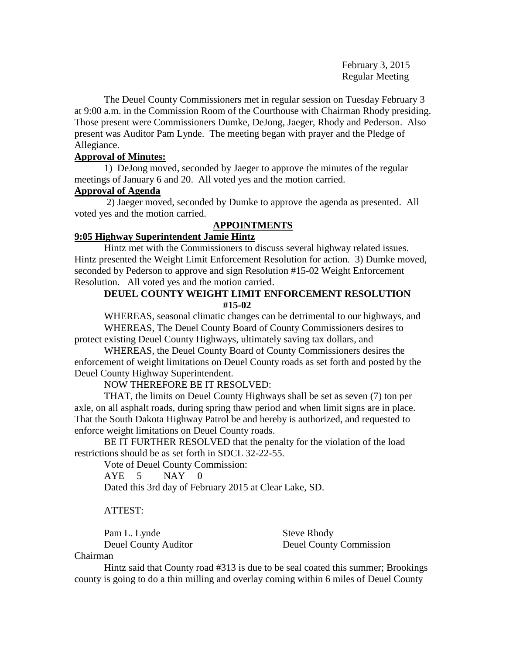February 3, 2015 Regular Meeting

The Deuel County Commissioners met in regular session on Tuesday February 3 at 9:00 a.m. in the Commission Room of the Courthouse with Chairman Rhody presiding. Those present were Commissioners Dumke, DeJong, Jaeger, Rhody and Pederson. Also present was Auditor Pam Lynde. The meeting began with prayer and the Pledge of Allegiance.

# **Approval of Minutes:**

1) DeJong moved, seconded by Jaeger to approve the minutes of the regular meetings of January 6 and 20. All voted yes and the motion carried.

# **Approval of Agenda**

2) Jaeger moved, seconded by Dumke to approve the agenda as presented. All voted yes and the motion carried.

# **APPOINTMENTS**

# **9:05 Highway Superintendent Jamie Hintz**

Hintz met with the Commissioners to discuss several highway related issues. Hintz presented the Weight Limit Enforcement Resolution for action. 3) Dumke moved, seconded by Pederson to approve and sign Resolution #15-02 Weight Enforcement Resolution. All voted yes and the motion carried.

# **DEUEL COUNTY WEIGHT LIMIT ENFORCEMENT RESOLUTION #15-02**

WHEREAS, seasonal climatic changes can be detrimental to our highways, and WHEREAS, The Deuel County Board of County Commissioners desires to protect existing Deuel County Highways, ultimately saving tax dollars, and

WHEREAS, the Deuel County Board of County Commissioners desires the enforcement of weight limitations on Deuel County roads as set forth and posted by the Deuel County Highway Superintendent.

NOW THEREFORE BE IT RESOLVED:

THAT, the limits on Deuel County Highways shall be set as seven (7) ton per axle, on all asphalt roads, during spring thaw period and when limit signs are in place. That the South Dakota Highway Patrol be and hereby is authorized, and requested to enforce weight limitations on Deuel County roads.

BE IT FURTHER RESOLVED that the penalty for the violation of the load restrictions should be as set forth in SDCL 32-22-55.

Vote of Deuel County Commission:

AYE 5 NAY 0

Dated this 3rd day of February 2015 at Clear Lake, SD.

# ATTEST:

Pam L. Lynde Steve Rhody

Deuel County Auditor Deuel County Commission

Chairman

Hintz said that County road #313 is due to be seal coated this summer; Brookings county is going to do a thin milling and overlay coming within 6 miles of Deuel County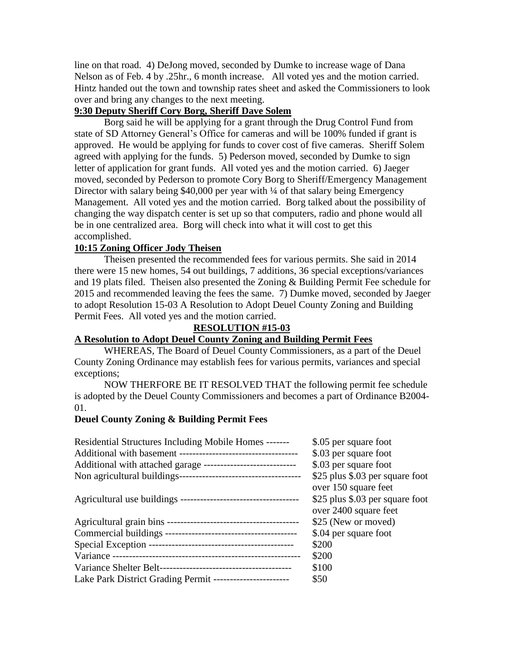line on that road. 4) DeJong moved, seconded by Dumke to increase wage of Dana Nelson as of Feb. 4 by .25hr., 6 month increase. All voted yes and the motion carried. Hintz handed out the town and township rates sheet and asked the Commissioners to look over and bring any changes to the next meeting.

# **9:30 Deputy Sheriff Cory Borg, Sheriff Dave Solem**

Borg said he will be applying for a grant through the Drug Control Fund from state of SD Attorney General's Office for cameras and will be 100% funded if grant is approved. He would be applying for funds to cover cost of five cameras. Sheriff Solem agreed with applying for the funds. 5) Pederson moved, seconded by Dumke to sign letter of application for grant funds. All voted yes and the motion carried. 6) Jaeger moved, seconded by Pederson to promote Cory Borg to Sheriff/Emergency Management Director with salary being \$40,000 per year with ¼ of that salary being Emergency Management. All voted yes and the motion carried. Borg talked about the possibility of changing the way dispatch center is set up so that computers, radio and phone would all be in one centralized area. Borg will check into what it will cost to get this accomplished.

# **10:15 Zoning Officer Jody Theisen**

Theisen presented the recommended fees for various permits. She said in 2014 there were 15 new homes, 54 out buildings, 7 additions, 36 special exceptions/variances and 19 plats filed. Theisen also presented the Zoning & Building Permit Fee schedule for 2015 and recommended leaving the fees the same. 7) Dumke moved, seconded by Jaeger to adopt Resolution 15-03 A Resolution to Adopt Deuel County Zoning and Building Permit Fees. All voted yes and the motion carried.

# **RESOLUTION #15-03**

# **A Resolution to Adopt Deuel County Zoning and Building Permit Fees**

WHEREAS, The Board of Deuel County Commissioners, as a part of the Deuel County Zoning Ordinance may establish fees for various permits, variances and special exceptions;

NOW THERFORE BE IT RESOLVED THAT the following permit fee schedule is adopted by the Deuel County Commissioners and becomes a part of Ordinance B2004- 01.

# **Deuel County Zoning & Building Permit Fees**

| \$.05 per square foot           |
|---------------------------------|
| \$.03 per square foot           |
| \$.03 per square foot           |
| \$25 plus \$.03 per square foot |
| over 150 square feet            |
| \$25 plus \$.03 per square foot |
| over 2400 square feet           |
| \$25 (New or moved)             |
| \$.04 per square foot           |
| \$200                           |
| \$200                           |
| \$100                           |
| \$50                            |
|                                 |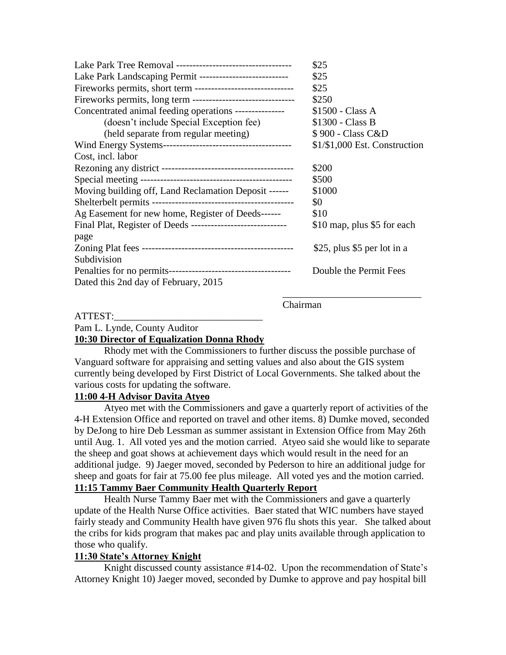|                                                               | \$25                          |
|---------------------------------------------------------------|-------------------------------|
| Lake Park Landscaping Permit ---------------------------      | \$25                          |
|                                                               | \$25                          |
| Fireworks permits, long term -------------------------------- | \$250                         |
| Concentrated animal feeding operations ---------------        | \$1500 - Class A              |
| (doesn't include Special Exception fee)                       | $$1300 - Class B$             |
| (held separate from regular meeting)                          | \$900 - Class C&D             |
|                                                               | $$1/$1,000$ Est. Construction |
| Cost, incl. labor                                             |                               |
|                                                               | \$200                         |
|                                                               | \$500                         |
| Moving building off, Land Reclamation Deposit ------          | \$1000                        |
|                                                               | \$0                           |
| Ag Easement for new home, Register of Deeds------             | \$10                          |
| Final Plat, Register of Deeds -----------------------------   | \$10 map, plus \$5 for each   |
| page                                                          |                               |
|                                                               | \$25, plus \$5 per lot in a   |
| Subdivision                                                   |                               |
|                                                               | Double the Permit Fees        |
| Dated this 2nd day of February, 2015                          |                               |
|                                                               |                               |

Chairman

## ATTEST:\_\_\_\_\_\_\_\_\_\_\_\_\_\_\_\_\_\_\_\_\_\_\_\_\_\_\_\_\_\_ Pam L. Lynde, County Auditor **10:30 Director of Equalization Donna Rhody**

Rhody met with the Commissioners to further discuss the possible purchase of Vanguard software for appraising and setting values and also about the GIS system currently being developed by First District of Local Governments. She talked about the various costs for updating the software.

# **11:00 4-H Advisor Davita Atyeo**

Atyeo met with the Commissioners and gave a quarterly report of activities of the 4-H Extension Office and reported on travel and other items. 8) Dumke moved, seconded by DeJong to hire Deb Lessman as summer assistant in Extension Office from May 26th until Aug. 1. All voted yes and the motion carried. Atyeo said she would like to separate the sheep and goat shows at achievement days which would result in the need for an additional judge. 9) Jaeger moved, seconded by Pederson to hire an additional judge for sheep and goats for fair at 75.00 fee plus mileage. All voted yes and the motion carried. **11:15 Tammy Baer Community Health Quarterly Report**

 Health Nurse Tammy Baer met with the Commissioners and gave a quarterly update of the Health Nurse Office activities. Baer stated that WIC numbers have stayed fairly steady and Community Health have given 976 flu shots this year. She talked about the cribs for kids program that makes pac and play units available through application to those who qualify.

# **11:30 State's Attorney Knight**

Knight discussed county assistance #14-02. Upon the recommendation of State's Attorney Knight 10) Jaeger moved, seconded by Dumke to approve and pay hospital bill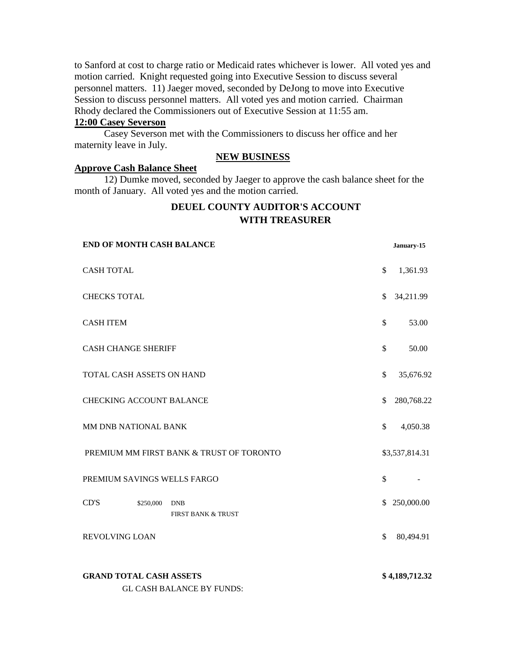to Sanford at cost to charge ratio or Medicaid rates whichever is lower. All voted yes and motion carried. Knight requested going into Executive Session to discuss several personnel matters. 11) Jaeger moved, seconded by DeJong to move into Executive Session to discuss personnel matters. All voted yes and motion carried. Chairman Rhody declared the Commissioners out of Executive Session at 11:55 am.

# **12:00 Casey Severson**

Casey Severson met with the Commissioners to discuss her office and her maternity leave in July.

# **NEW BUSINESS**

## **Approve Cash Balance Sheet**

12) Dumke moved, seconded by Jaeger to approve the cash balance sheet for the month of January. All voted yes and the motion carried.

# **DEUEL COUNTY AUDITOR'S ACCOUNT WITH TREASURER**

| <b>END OF MONTH CASH BALANCE</b>                                   |              | January-15     |
|--------------------------------------------------------------------|--------------|----------------|
| <b>CASH TOTAL</b>                                                  | \$           | 1,361.93       |
| <b>CHECKS TOTAL</b>                                                | \$           | 34,211.99      |
| <b>CASH ITEM</b>                                                   | \$           | 53.00          |
| <b>CASH CHANGE SHERIFF</b>                                         | \$           | 50.00          |
| TOTAL CASH ASSETS ON HAND                                          | \$           | 35,676.92      |
| <b>CHECKING ACCOUNT BALANCE</b>                                    | \$           | 280,768.22     |
| MM DNB NATIONAL BANK                                               | \$.          | 4,050.38       |
| PREMIUM MM FIRST BANK & TRUST OF TORONTO                           |              | \$3,537,814.31 |
| PREMIUM SAVINGS WELLS FARGO                                        | $\mathbb{S}$ |                |
| CD'S<br>\$250,000<br><b>DNB</b><br><b>FIRST BANK &amp; TRUST</b>   |              | \$250,000.00   |
| <b>REVOLVING LOAN</b>                                              | \$           | 80,494.91      |
| <b>GRAND TOTAL CASH ASSETS</b><br><b>GL CASH BALANCE BY FUNDS:</b> |              | \$4,189,712.32 |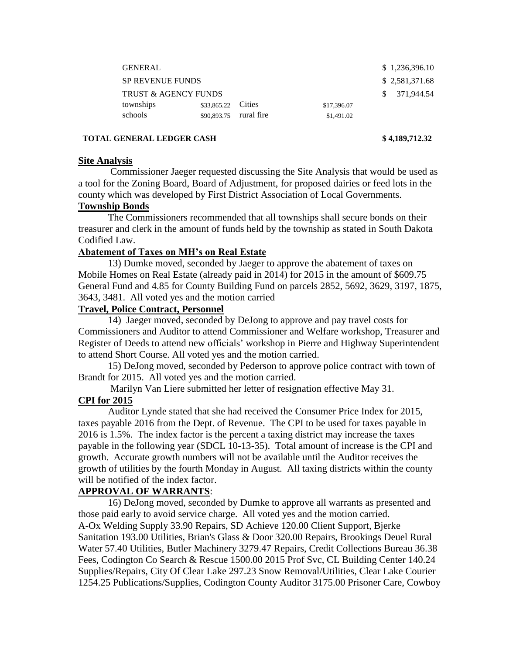| <b>GENERAL</b>                  |                    |            |             | \$1,236,396.10 |
|---------------------------------|--------------------|------------|-------------|----------------|
| <b>SP REVENUE FUNDS</b>         |                    |            |             | \$2,581,371.68 |
| <b>TRUST &amp; AGENCY FUNDS</b> |                    |            |             | \$371.944.54   |
| townships                       | \$33,865.22 Cities |            | \$17,396.07 |                |
| schools                         | \$90,893.75        | rural fire | \$1,491.02  |                |

## **TOTAL GENERAL LEDGER CASH \$ 4,189,712.32**

## **Site Analysis**

 Commissioner Jaeger requested discussing the Site Analysis that would be used as a tool for the Zoning Board, Board of Adjustment, for proposed dairies or feed lots in the county which was developed by First District Association of Local Governments.

# **Township Bonds**

The Commissioners recommended that all townships shall secure bonds on their treasurer and clerk in the amount of funds held by the township as stated in South Dakota Codified Law.

# **Abatement of Taxes on MH's on Real Estate**

13) Dumke moved, seconded by Jaeger to approve the abatement of taxes on Mobile Homes on Real Estate (already paid in 2014) for 2015 in the amount of \$609.75 General Fund and 4.85 for County Building Fund on parcels 2852, 5692, 3629, 3197, 1875, 3643, 3481. All voted yes and the motion carried

# **Travel, Police Contract, Personnel**

 14) Jaeger moved, seconded by DeJong to approve and pay travel costs for Commissioners and Auditor to attend Commissioner and Welfare workshop, Treasurer and Register of Deeds to attend new officials' workshop in Pierre and Highway Superintendent to attend Short Course. All voted yes and the motion carried.

 15) DeJong moved, seconded by Pederson to approve police contract with town of Brandt for 2015. All voted yes and the motion carried.

Marilyn Van Liere submitted her letter of resignation effective May 31.

# **CPI for 2015**

Auditor Lynde stated that she had received the Consumer Price Index for 2015, taxes payable 2016 from the Dept. of Revenue. The CPI to be used for taxes payable in 2016 is 1.5%. The index factor is the percent a taxing district may increase the taxes payable in the following year (SDCL 10-13-35). Total amount of increase is the CPI and growth. Accurate growth numbers will not be available until the Auditor receives the growth of utilities by the fourth Monday in August. All taxing districts within the county will be notified of the index factor.

# **APPROVAL OF WARRANTS**:

16) DeJong moved, seconded by Dumke to approve all warrants as presented and those paid early to avoid service charge. All voted yes and the motion carried. A-Ox Welding Supply 33.90 Repairs, SD Achieve 120.00 Client Support, Bjerke Sanitation 193.00 Utilities, Brian's Glass & Door 320.00 Repairs, Brookings Deuel Rural Water 57.40 Utilities, Butler Machinery 3279.47 Repairs, Credit Collections Bureau 36.38 Fees, Codington Co Search & Rescue 1500.00 2015 Prof Svc, CL Building Center 140.24 Supplies/Repairs, City Of Clear Lake 297.23 Snow Removal/Utilities, Clear Lake Courier 1254.25 Publications/Supplies, Codington County Auditor 3175.00 Prisoner Care, Cowboy